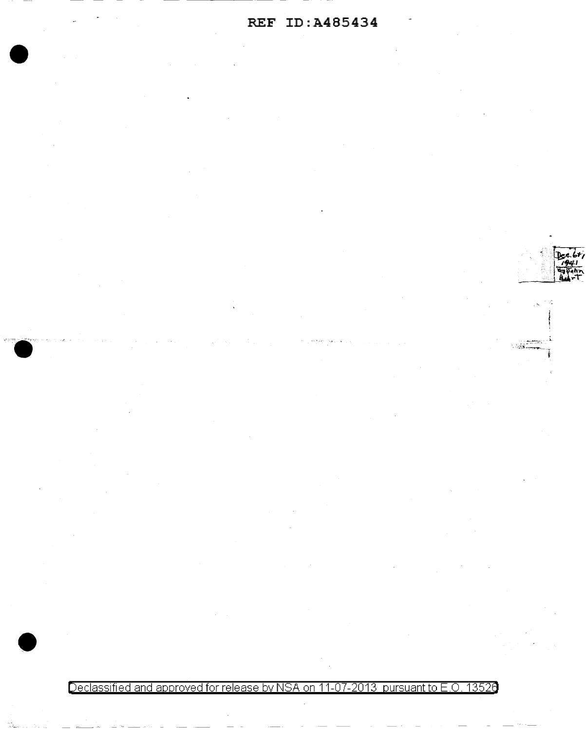## **REF ID:A485434**

•

Declassified and approved for release by NSA on 11-07-2013 pursuant to E.O. 13526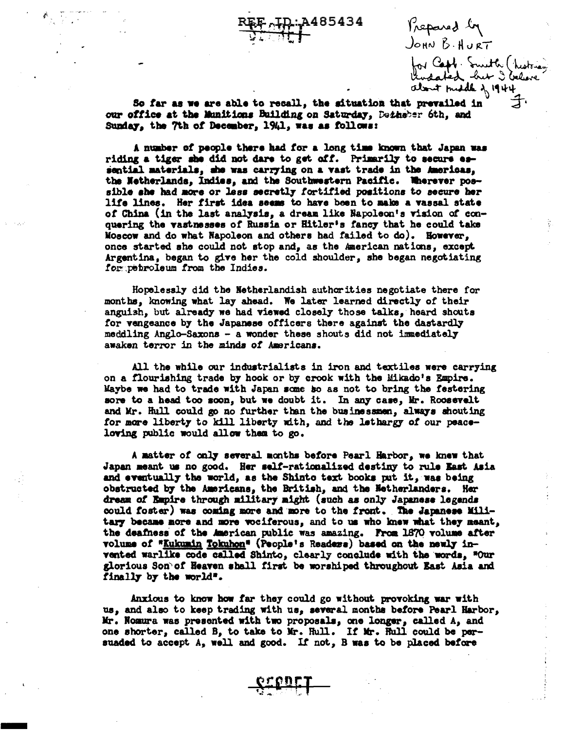1485434

Prepared by JOHN B. HURT

for Capp Smith (historia)<br>Undated but I believe

So far as we are able to recall, the aituation that prevailed in our office at the Munitions Building on Saturday, Detheber 6th, and Sunday, the 7th of December, 1941, was as follows:

A number of people there had for a long time known that Japan was riding a tiger she did not dare to get off. Primarily to secure essential materials, she was carrying on a vast trade in the Americas. the Netherlands, Indies, and the Southwestern Pacific. Wherever possible she had more or lass secretly fortified positions to secure her life lines. Her first idea seems to have been to make a vassal state of China (in the last analysis, a dream like Napoleon's vision of conquering the vastnesses of Russia or Hitler's fancy that he could take Moscow and do what Napoleon and others had failed to do). However, once started she could not stop and, as the American nations, except Argentina, began to give her the cold shoulder, she began negotiating for petroleum from the Indies.

Hopelessly did the Netherlandish authorities negotiate there for months, knowing what lay ahead. We later learned directly of their anguish, but already we had viewed closely those talks, heard shouts for vengeance by the Japanese officers there against the dastardly meddling Anglo-Saxons - a wonder these shouts did not immediately awaken terror in the minds of Americans.

All the while our industrialists in iron and textiles were carrying on a flourishing trade by hook or by crook with the Mikado's Empire. Maybe we had to trade with Japan some so as not to bring the festering sore to a head too soon, but we doubt it. In any case, Mr. Roosevelt and Mr. Hull could go no further than the businessmen, always shouting for more liberty to kill liberty with, and the lethargy of our peaceloving public would allow them to go.

A matter of only several months before Pearl Harbor, we knew that Japan meant us no good. Her self-rationalized destiny to rule East Asia and eventually the world, as the Shinto text books put it, was being obstructed by the Americans, the British, and the Netherlanders. Her dream of Empire through military might (such as only Japanese legends could foster) was coming more and more to the front. The Japanese Military became more and more vociferous, and to us who knew what they meant, the deafness of the American public was amazing. From 1870 volume after volume of "Kukumin Tokuhon" (People's Readers) based on the newly invented warlike code called Shinto, clearly conclude with the words, "Our glorious Son of Heaven shall first be worshiped throughout East Asia and finally by the world".

Anxious to know how far they could go without provoking war with us, and also to keep trading with us, several months before Pearl Harbor, Mr. Nomura was presented with two proposals, one longer, called A, and one shorter, called B, to take to Mr. Hull. If Mr. Hull could be persuaded to accept A, well and good. If not, B was to be placed before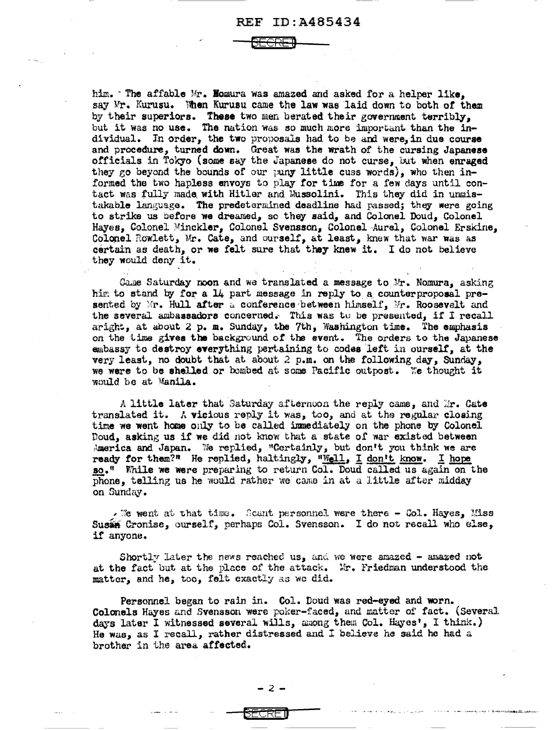BECRElJ

him.  $\lceil$  The affable Mr. Homura was amazed and asked for a helper like. say Mr. Kurusu. When Kurusu came the law was laid down to both of them by their superiors. These two men berated their government terribly, but it was no use. The nation was so much more important than the individual. In order, the two proposals had to be and were, in due course and procedure, turned down. Great was the wrath of the cursing Japanese officials in Tokyo (some say the Japanese do not curse, but when enraged they *eo* beyond the bounds of our puny little cuss words), who then informed the two hapless envoys to play for time for a few days until contact was fully made with Hitler and Mussolini. This they did in unmistakable language. The predetermined deadline had passed; they were going to strike us before we dreamed, so: they said, and Colonel Doud, Colonel Hayes, Colonel Minckler, Colonel Svensson, Colonel Aurel, Colonel Erskine, Colonel Rowlett, Mr. Cate, and ourself, at least, knew that war was as  $c$ ertain as death, or we felt sure that they knew it. I do not believe they would deny it.

Game Saturday noon and we translated a message to Mr. Nomura, asking him to stand by for a  $14$  part message in reply to a counterproposal presented by Mr. Hull after a conference between himself, Mr. Roosevelt and the several ambassadors concerned. This was tu be presented, if I recall aright, at about 2 p. m. Sunday, the 7th, Washington time. The emphasis on the time gives the background of the event. The orders to the Japanese embassy to destroy everything pertaining to codes left in ourself, at the very least, no doubt that at about 2 p.m. on the following day, Sunday, we were to be shelled or bombed at some Pacific outpost. We thought it would be at Manila.

A little later that Saturday afternoon the reply came, and Mr. Cate translated it. A vicious reply it was, too, and at the regular closing time we went home only to be called immediately on the phone by Colonel Doud, asking us if we did not know that a state of war existed between America and Japan. We replied, "Certainly, but don't you think we are ready for them?" He replied, haltingly, "Well, I don't know. I hope so." While we were preparing to return Col. Doud called us again on the Phone, telling us he would rather we came in at a little after midday on Sunday.

. We went at that time. Scant personnel were there  $-$  Col. Hayes, Miss Susia Cronise, ourself, perhaps Col. Svensson. I do not recall who else, il' anyonu.

Shortly later the news reached us, and we were amazed - amazed not at the fact but at the place of the attack. Mr. Friedman understood the matter, and he, too, felt exactly as we did.

Personnel began to rain in. Col. Doud was red-eyed and worn. Colonels Hayes and Svensson were poker-faced, and matter of fact. (Several days later I witnessed several wil1s, among them Col. Hayes•, I think.) He was, as I recall, rather distressed and I believe he said he had a brother in the area affected.

BECF:E 0.